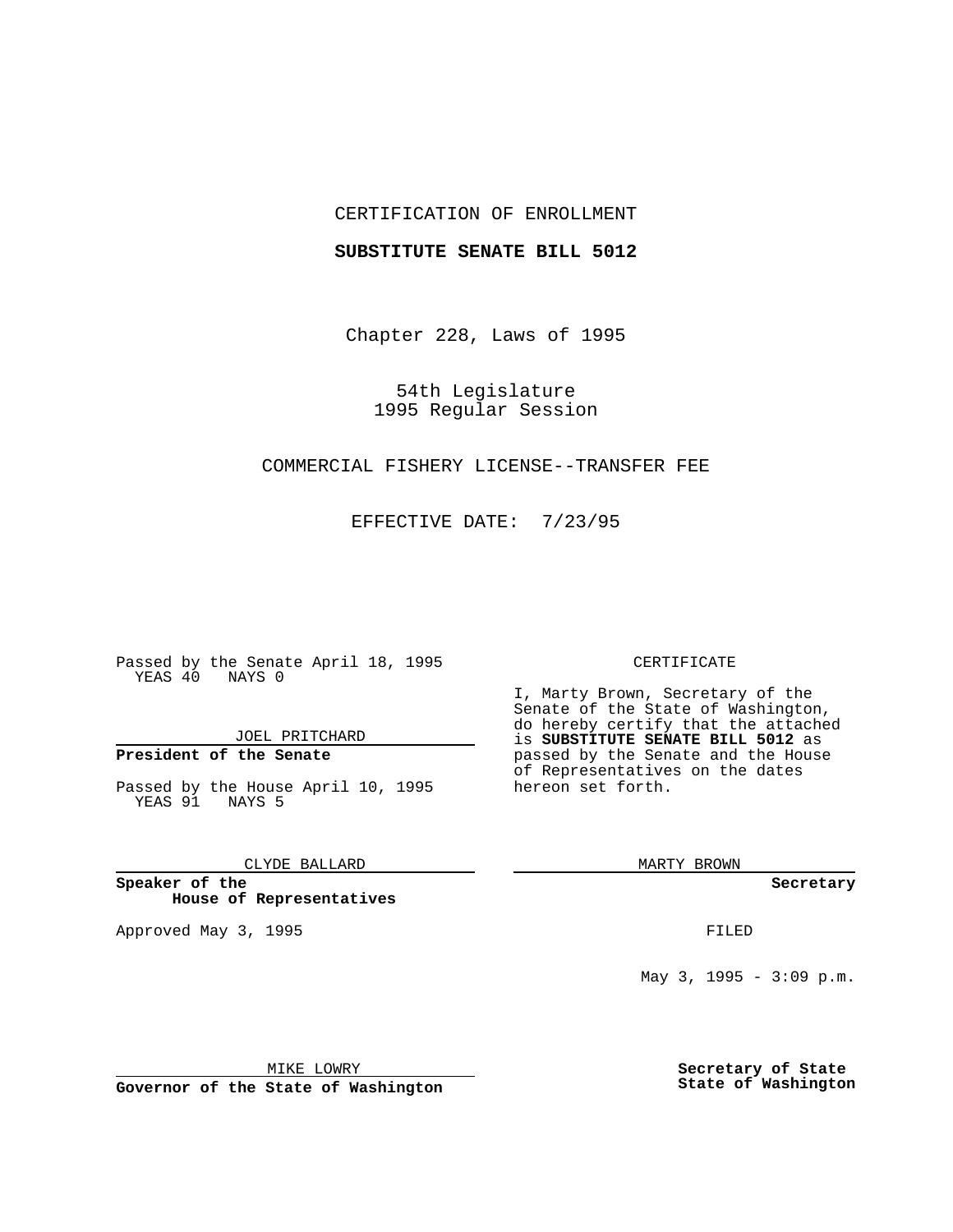## CERTIFICATION OF ENROLLMENT

### **SUBSTITUTE SENATE BILL 5012**

Chapter 228, Laws of 1995

54th Legislature 1995 Regular Session

# COMMERCIAL FISHERY LICENSE--TRANSFER FEE

EFFECTIVE DATE: 7/23/95

Passed by the Senate April 18, 1995 YEAS 40 NAYS 0

JOEL PRITCHARD

# **President of the Senate**

Passed by the House April 10, 1995 YEAS 91 NAYS 5

CLYDE BALLARD

**Speaker of the House of Representatives**

Approved May 3, 1995 **FILED** 

#### CERTIFICATE

I, Marty Brown, Secretary of the Senate of the State of Washington, do hereby certify that the attached is **SUBSTITUTE SENATE BILL 5012** as passed by the Senate and the House of Representatives on the dates hereon set forth.

MARTY BROWN

**Secretary**

May 3, 1995 -  $3:09 \text{ p.m.}$ 

MIKE LOWRY

**Governor of the State of Washington**

**Secretary of State State of Washington**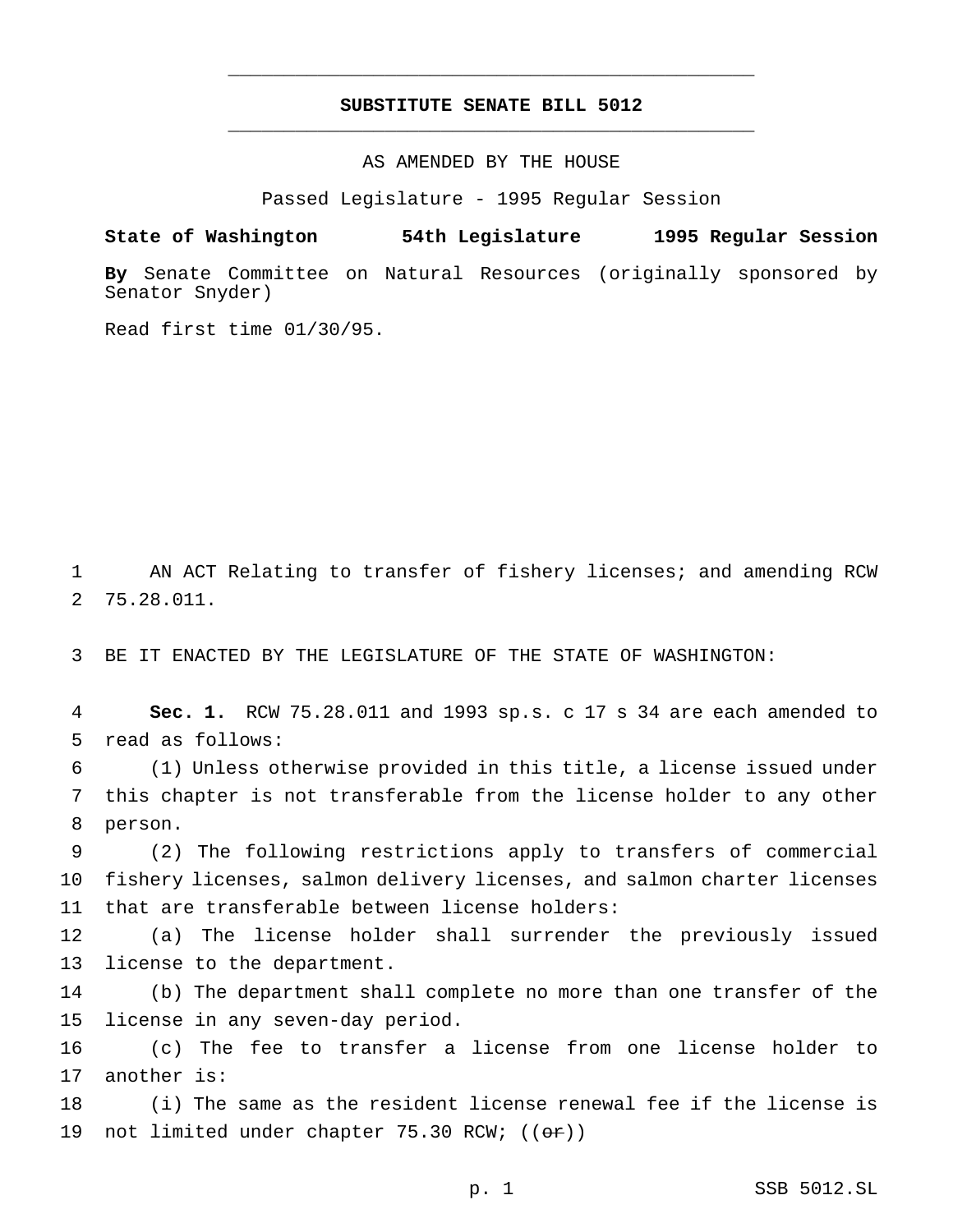## **SUBSTITUTE SENATE BILL 5012** \_\_\_\_\_\_\_\_\_\_\_\_\_\_\_\_\_\_\_\_\_\_\_\_\_\_\_\_\_\_\_\_\_\_\_\_\_\_\_\_\_\_\_\_\_\_\_

\_\_\_\_\_\_\_\_\_\_\_\_\_\_\_\_\_\_\_\_\_\_\_\_\_\_\_\_\_\_\_\_\_\_\_\_\_\_\_\_\_\_\_\_\_\_\_

AS AMENDED BY THE HOUSE

Passed Legislature - 1995 Regular Session

**State of Washington 54th Legislature 1995 Regular Session**

**By** Senate Committee on Natural Resources (originally sponsored by Senator Snyder)

Read first time 01/30/95.

 AN ACT Relating to transfer of fishery licenses; and amending RCW 75.28.011.

BE IT ENACTED BY THE LEGISLATURE OF THE STATE OF WASHINGTON:

 **Sec. 1.** RCW 75.28.011 and 1993 sp.s. c 17 s 34 are each amended to read as follows:

 (1) Unless otherwise provided in this title, a license issued under this chapter is not transferable from the license holder to any other person.

 (2) The following restrictions apply to transfers of commercial fishery licenses, salmon delivery licenses, and salmon charter licenses that are transferable between license holders:

 (a) The license holder shall surrender the previously issued license to the department.

 (b) The department shall complete no more than one transfer of the license in any seven-day period.

 (c) The fee to transfer a license from one license holder to another is:

 (i) The same as the resident license renewal fee if the license is 19 not limited under chapter 75.30 RCW;  $((or))$